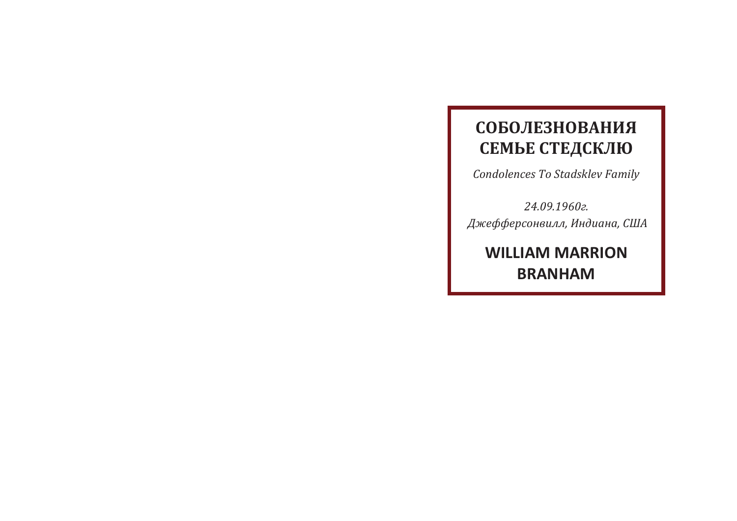## **СОБОЛЕЗНОВАНИЯ** СЕМЬЕ СТЕДСКЛЮ

Condolences To Stadsklev Family

24.09.1960г. Джефферсонвилл, Индиана, США

**WILLIAM MARRION BRANHAM**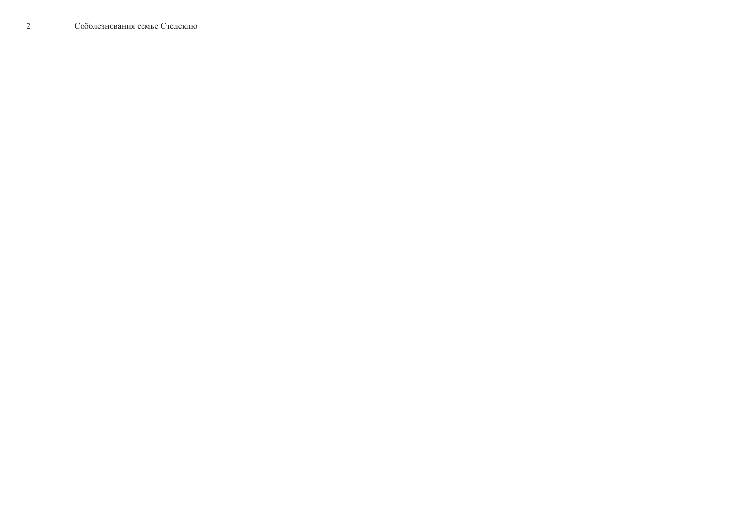$\overline{2}$ Соболезнования семье Стедсклю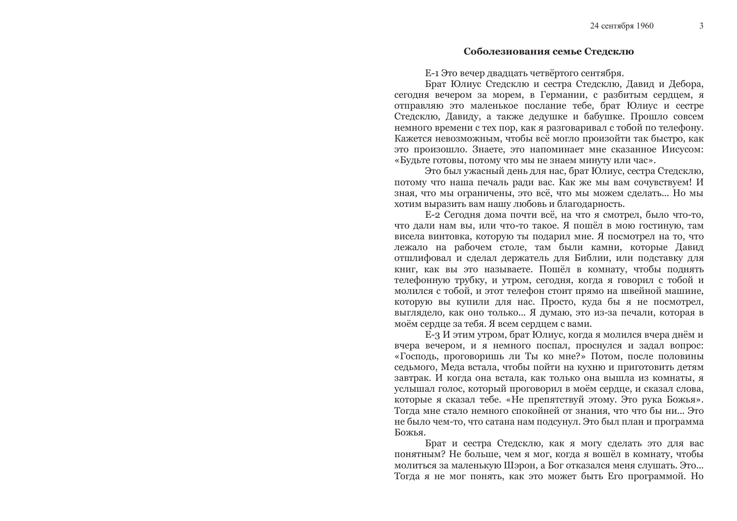$\mathcal{E}$ 

## Соболезнования семье Стедсклю

Е-1 Это вечер двадцать четвёртого сентября.

Брат Юлиус Стедсклю и сестра Стедсклю, Давид и Дебора, сегодня вечером за морем, в Германии, с разбитым сердцем, я отправляю это маленькое послание тебе, брат Юлиус и сестре Стедсклю, Давиду, а также дедушке и бабушке. Прошло совсем немного времени с тех пор, как я разговаривал с тобой по телефону. Кажется невозможным, чтобы всё могло произойти так быстро, как это произошло. Знаете, это напоминает мне сказанное Иисусом: «Будьте готовы, потому что мы не знаем минуту или час».

Это был ужасный день для нас, брат Юлиус, сестра Стедсклю, потому что наша печаль ради вас. Как же мы вам сочувствуем! И зная, что мы ограничены, это всё, что мы можем сделать... Но мы хотим выразить вам нашу любовь и благодарность.

Е-2 Сегодня дома почти всё, на что я смотрел, было что-то, что дали нам вы, или что-то такое. Я пошёл в мою гостиную, там висела винтовка, которую ты подарил мне. Я посмотрел на то, что лежало на рабочем столе, там были камни, которые Давид отшлифовал и сделал держатель для Библии, или подставку для книг, как вы это называете. Пошёл в комнату, чтобы поднять телефонную трубку, и утром, сегодня, когда я говорил с тобой и молился с тобой, и этот телефон стоит прямо на швейной машине, которую вы купили для нас. Просто, куда бы я не посмотрел, выглядело, как оно только... Я думаю, это из-за печали, которая в моём сердце за тебя. Я всем сердцем с вами.

Е-3 И этим утром, брат Юлиус, когда я молился вчера днём и вчера вечером, и я немного поспал, проснулся и задал вопрос: «Господь, проговоришь ли Ты ко мне?» Потом, после половины седьмого, Меда встала, чтобы пойти на кухню и приготовить детям завтрак. И когда она встала, как только она вышла из комнаты, я услышал голос, который проговорил в моём сердце, и сказал слова, которые я сказал тебе. «Не препятствуй этому. Это рука Божья». Тогда мне стало немного спокойней от знания, что что бы ни... Это не было чем-то, что сатана нам подсунул. Это был план и программа Божья.

Брат и сестра Стедсклю, как я могу сделать это для вас понятным? Не больше, чем я мог, когда я вошёл в комнату, чтобы молиться за маленькую Шэрон, а Бог отказался меня слушать. Это... Тогда я не мог понять, как это может быть Его программой. Но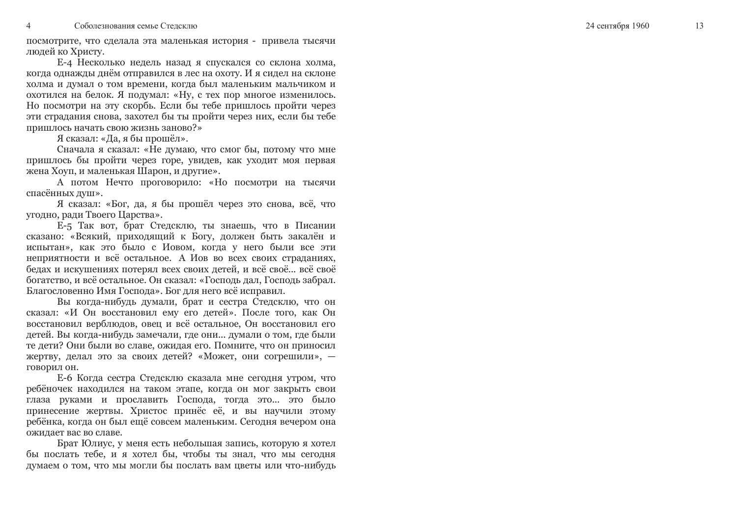посмотрите, что сделала эта маленькая история - привела тысячи людей ко Христу.

Е-4 Несколько недель назад я спускался со склона холма, когда однажды днём отправился в лес на охоту. И я сидел на склоне холма и думал о том времени, когда был маленьким мальчиком и охотился на белок. Я подумал: «Ну, с тех пор многое изменилось. Но посмотри на эту скорбь. Если бы тебе пришлось пройти через эти страдания снова, захотел бы ты пройти через них, если бы тебе пришлось начать свою жизнь заново?»

Я сказал: «Да, я бы прошёл».

Сначала я сказал: «Не думаю, что смог бы, потому что мне пришлось бы пройти через горе, увидев, как уходит моя первая жена Хоуп, и маленькая Шарон, и другие».

А потом Нечто проговорило: «Но посмотри на тысячи спасённых душ».

Я сказал: «Бог, да, я бы прошёл через это снова, всё, что угодно, ради Твоего Царства».

Е-5 Так вот, брат Стедсклю, ты знаешь, что в Писании сказано: «Всякий, приходящий к Богу, должен быть закалён и испытан», как это было с Иовом, когда у него были все эти неприятности и всё остальное. А Иов во всех своих страданиях, бедах и искушениях потерял всех своих детей, и всё своё... всё своё богатство, и всё остальное. Он сказал: «Господь дал, Господь забрал. Благословенно Имя Господа». Бог для него всё исправил.

Вы когда-нибудь думали, брат и сестра Стедсклю, что он сказал: «И Он восстановил ему его детей». После того, как Он восстановил верблюдов, овец и всё остальное. Он восстановил его детей. Вы когда-нибудь замечали, где они... думали о том, где были те дети? Они были во славе, ожидая его. Помните, что он приносил жертву, делал это за своих детей? «Может, они согрешили», говорил он.

Е-6 Когда сестра Стедсклю сказала мне сегодня утром, что ребёночек находился на таком этапе, когда он мог закрыть свои глаза руками и прославить Господа, тогда это... это было принесение жертвы. Христос принёс её, и вы научили этому ребёнка, когда он был ещё совсем маленьким. Сегодня вечером она ожилает вас во славе.

Брат Юлиус, у меня есть небольшая запись, которую я хотел бы послать тебе, и я хотел бы, чтобы ты знал, что мы сегодня думаем о том, что мы могли бы послать вам цветы или что-нибудь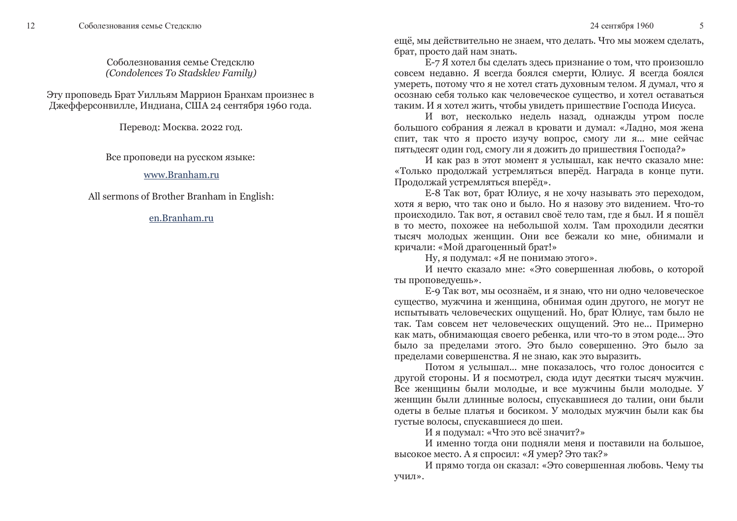12

Соболезнования семье Стедсклю (Condolences To Stadsklev Family)

Эту проповедь Брат Уилльям Маррион Бранхам произнес в Джефферсонвилле, Индиана, США 24 сентября 1960 года.

Перевод: Москва. 2022 год.

Все проповеди на русском языке:

www.Branham.ru

All sermons of Brother Branham in English:

en.Branham.ru

ещё, мы действительно не знаем, что делать. Что мы можем сделать, брат, просто дай нам знать.

Е-7 Я хотел бы сделать здесь признание о том, что произошло совсем недавно. Я всегда боялся смерти. Юлиус. Я всегда боялся умереть, потому что я не хотел стать духовным телом. Я думал, что я осознаю себя только как человеческое существо, и хотел оставаться таким. И я хотел жить, чтобы увидеть пришествие Господа Иисуса.

И вот, несколько недель назад, однажды утром после большого собрания я лежал в кровати и думал: «Ладно, моя жена спит, так что я просто изучу вопрос, смогу ли я... мне сейчас пятьдесят один год, смогу ли я дожить до пришествия Господа?»

И как раз в этот момент я услышал, как нечто сказало мне: «Только продолжай устремляться вперёд. Награда в конце пути. Продолжай устремляться вперёд».

Е-8 Так вот, брат Юлиус, я не хочу называть это переходом, хотя я верю, что так оно и было. Но я назову это видением. Что-то происходило. Так вот, я оставил своё тело там, где я был. И я пошёл в то место, похожее на небольшой холм. Там проходили десятки тысяч молодых женщин. Они все бежали ко мне, обнимали и кричали: «Мой драгоценный брат!»

Ну, я подумал: «Я не понимаю этого».

И нечто сказало мне: «Это совершенная любовь, о которой ты проповедуешь».

Е-9 Так вот, мы осознаём, и я знаю, что ни одно человеческое существо, мужчина и женщина, обнимая один другого, не могут не испытывать человеческих ощущений. Но, брат Юлиус, там было не так. Там совсем нет человеческих ощущений. Это не... Примерно как мать, обнимающая своего ребенка, или что-то в этом роде... Это было за пределами этого. Это было совершенно. Это было за пределами совершенства. Я не знаю, как это выразить.

Потом я услышал... мне показалось, что голос доносится с другой стороны. И я посмотрел, сюда идут десятки тысяч мужчин. Все женщины были молодые, и все мужчины были молодые. У женщин были длинные волосы, спускавшиеся до талии, они были одеты в белые платья и босиком. У молодых мужчин были как бы густые волосы, спускавшиеся до шеи.

И я подумал: «Что это всё значит?»

И именно тогда они подняли меня и поставили на большое, высокое место. А я спросил: «Я умер? Это так?»

И прямо тогда он сказал: «Это совершенная любовь. Чему ты учил».

 $\overline{5}$ 

24 сентября 1960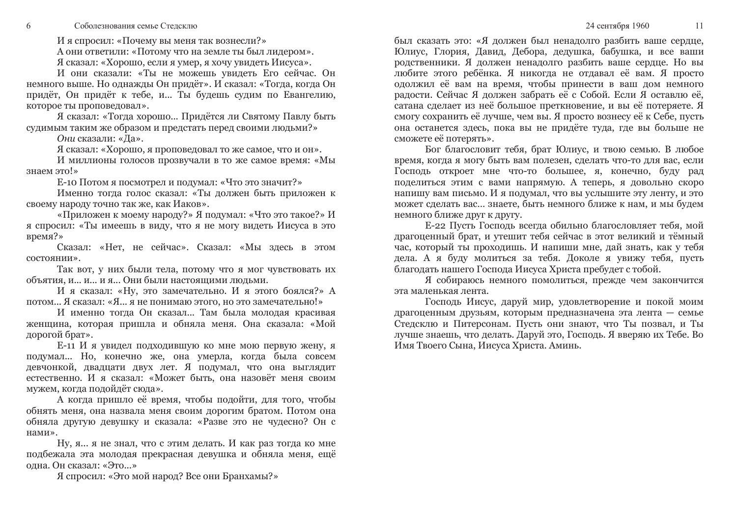И я спросил: «Почему вы меня так вознесли?»

А они ответили: «Потому что на земле ты был лидером».

Я сказал: «Хорошо, если я умер, я хочу увидеть Иисуса».

И они сказали: «Ты не можешь увидеть Его сейчас. Он немного выше. Но однажды Он придёт». И сказал: «Тогда, когда Он придёт, Он придёт к тебе, и... Ты будешь судим по Евангелию, которое ты проповедовал».

Я сказал: «Тогда хорошо... Придётся ли Святому Павлу быть судимым таким же образом и предстать перед своими людьми?»

Они сказали: «Да».

6

Я сказал: «Хорошо, я проповедовал то же самое, что и он».

И миллионы голосов прозвучали в то же самое время: «Мы знаем это!»

Е-10 Потом я посмотрел и подумал: «Что это значит?»

Именно тогда голос сказал: «Ты должен быть приложен к своему народу точно так же, как Иаков».

«Приложен к моему народу?» Я подумал: «Что это такое?» И я спросил: «Ты имеешь в виду, что я не могу видеть Иисуса в это время?»

Сказал: «Нет, не сейчас». Сказал: «Мы здесь в этом состоянии».

Так вот, у них были тела, потому что я мог чувствовать их объятия, и... и... и я... Они были настоящими людьми.

И я сказал: «Ну, это замечательно. И я этого боялся?» А потом... Я сказал: «Я... я не понимаю этого, но это замечательно!»

И именно тогда Он сказал... Там была молодая красивая женщина, которая пришла и обняла меня. Она сказала: «Мой дорогой брат».

Е-11 И я увидел подходившую ко мне мою первую жену, я подумал... Но, конечно же, она умерла, когда была совсем девчонкой, двадцати двух лет. Я подумал, что она выглядит естественно. И я сказал: «Может быть, она назовёт меня своим мужем, когда подойдёт сюда».

А когда пришло её время, чтобы подойти, для того, чтобы обнять меня, она назвала меня своим дорогим братом. Потом она обняла другую девушку и сказала: «Разве это не чудесно? Он с нами».

Ну, я... я не знал, что с этим делать. И как раз тогда ко мне подбежала эта молодая прекрасная девушка и обняла меня, ещё одна. Он сказал: «Это...»

Я спросил: «Это мой народ? Все они Бранхамы?»

был сказать это: «Я должен был ненадолго разбить ваше сердце, Юлиус, Глория, Давид, Дебора, дедушка, бабушка, и все ваши родственники. Я должен ненадолго разбить ваше сердце. Но вы любите этого ребёнка. Я никогда не отдавал её вам. Я просто одолжил её вам на время, чтобы принести в ваш дом немного ралости. Сейчас Я лолжен забрать её с Собой. Если Я оставлю её. сатана сделает из неё большое преткновение, и вы её потеряете. Я смогу сохранить её лучше, чем вы. Я просто вознесу её к Себе, пусть она останется здесь, пока вы не придёте туда, где вы больше не сможете её потерять».

Бог благословит тебя, брат Юлиус, и твою семью. В любое время, когда я могу быть вам полезен, сделать что-то для вас, если Господь откроет мне что-то большее, я, конечно, буду рад поделиться этим с вами напрямую. А теперь, я довольно скоро напишу вам письмо. И я подумал, что вы услышите эту ленту, и это может сделать вас... знаете, быть немного ближе к нам, и мы будем немного ближе друг к другу.

Е-22 Пусть Господь всегда обильно благословляет тебя, мой драгоценный брат, и утешит тебя сейчас в этот великий и тёмный час, который ты проходишь. И напиши мне, дай знать, как у тебя дела. А я буду молиться за тебя. Доколе я увижу тебя, пусть благодать нашего Господа Иисуса Христа пребудет с тобой.

Я собираюсь немного помолиться, прежде чем закончится эта маленькая лента.

Господь Иисус, даруй мир, удовлетворение и покой моим драгоценным друзьям, которым предназначена эта лента - семье Стедсклю и Питерсонам. Пусть они знают, что Ты позвал, и Ты лучше знаешь, что делать. Даруй это, Господь. Я вверяю их Тебе. Во Имя Твоего Сына, Иисуса Христа. Аминь.

11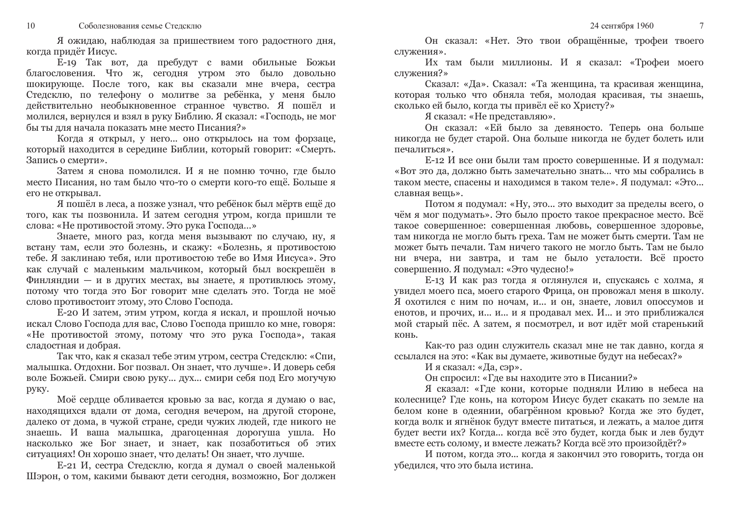Я ожидаю, наблюдая за пришествием того радостного дня, когда придёт Иисус.

Е-19 Так вот, да пребудут с вами обильные Божьи благословения. Что ж, сегодня утром это было довольно шокирующе. После того, как вы сказали мне вчера, сестра Стедсклю, по телефону о молитве за ребёнка, у меня было действительно необыкновенное странное чувство. Я пошёл и молился, вернулся и взял в руку Библию. Я сказал: «Господь, не мог бы ты для начала показать мне место Писания?»

Когда я открыл, у него... оно открылось на том форзаце, который находится в середине Библии, который говорит: «Смерть. Запись о смерти».

Затем я снова помолился. И я не помню точно, где было место Писания, но там было что-то о смерти кого-то ещё. Больше я его не открывал.

Я пошёл в леса, а позже узнал, что ребёнок был мёртв ещё до того, как ты позвонила. И затем сегодня утром, когда пришли те слова: «Не противостой этому. Это рука Господа...»

Знаете, много раз, когда меня вызывают по случаю, ну, я встану там, если это болезнь, и скажу: «Болезнь, я противостою тебе. Я заклинаю тебя, или противостою тебе во Имя Иисуса». Это как случай с маленьким мальчиком, который был воскрешён в Финляндии - и в других местах, вы знаете, я противлюсь этому, потому что тогда это Бог говорит мне сделать это. Тогда не моё слово противостоит этому, это Слово Господа.

Е-20 И затем, этим утром, когда я искал, и прошлой ночью искал Слово Господа для вас. Слово Господа пришло ко мне, говоря: «Не противостой этому, потому что это рука Господа», такая сладостная и добрая.

Так что, как я сказал тебе этим утром, сестра Стедсклю: «Спи, малышка. Отдохни. Бог позвал. Он знает, что лучше». И доверь себя воле Божьей. Смири свою руку... дух... смири себя под Его могучую руку.

Моё сердце обливается кровью за вас, когда я думаю о вас, находящихся вдали от дома, сегодня вечером, на другой стороне, далеко от дома, в чужой стране, среди чужих людей, где никого не знаешь. И ваша малышка, драгоценная дорогуша ушла. Но насколько же Бог знает, и знает, как позаботиться об этих ситуациях! Он хорошо знает, что делать! Он знает, что лучше.

Е-21 И, сестра Стедсклю, когда я думал о своей маленькой Шэрон, о том, какими бывают дети сегодня, возможно, Бог должен

Он сказал: «Нет. Это твои обращённые, трофеи твоего служения».

Их там были миллионы. И я сказал: «Трофеи моего служения?»

Сказал: «Да». Сказал: «Та женщина, та красивая женщина, которая только что обняла тебя, молодая красивая, ты знаешь, сколько ей было, когда ты привёл её ко Христу?»

Я сказал: «Не представляю».

Он сказал: «Ей было за девяносто. Теперь она больше никогда не будет старой. Она больше никогда не будет болеть или печалиться».

Е-12 И все они были там просто совершенные. И я подумал: «Вот это да, должно быть замечательно знать... что мы собрались в таком месте, спасены и находимся в таком теле». Я подумал: «Это... славная вешь».

Потом я подумал: «Ну, это... это выходит за пределы всего, о чём я мог подумать». Это было просто такое прекрасное место. Всё такое совершенное: совершенная любовь, совершенное здоровье, там никогда не могло быть греха. Там не может быть смерти. Там не может быть печали. Там ничего такого не могло быть. Там не было ни вчера, ни завтра, и там не было усталости. Всё просто совершенно. Я подумал: «Это чудесно!»

Е-13 И как раз тогда я оглянулся и, спускаясь с холма, я увидел моего пса, моего старого Фрица, он провожал меня в школу. Я охотился с ним по ночам, и... и он, знаете, ловил опоссумов и енотов, и прочих, и... и... и я продавал мех. И... и это приближался мой старый пёс. А затем, я посмотрел, и вот идёт мой старенький конь.

Как-то раз один служитель сказал мне не так давно, когда я ссылался на это: «Как вы думаете, животные будут на небесах?»

И я сказал: «Да, сэр».

Он спросил: «Где вы находите это в Писании?»

Я сказал: «Где кони, которые подняли Илию в небеса на колеснице? Где конь, на котором Иисус будет скакать по земле на белом коне в одеянии, обагрённом кровью? Когда же это будет, когда волк и ягнёнок будут вместе питаться, и лежать, а малое дитя будет вести их? Когда... когда всё это будет, когда бык и лев будут вместе есть солому, и вместе лежать? Когда всё это произойдёт?»

И потом, когда это... когда я закончил это говорить, тогда он убедился, что это была истина.